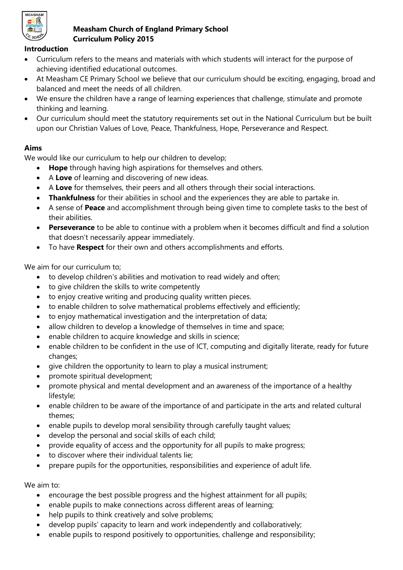

#### **Measham Church of England Primary School Curriculum Policy 2015**

#### **Introduction**

- Curriculum refers to the means and materials with which students will interact for the purpose of achieving identified educational outcomes.
- At Measham CE Primary School we believe that our curriculum should be exciting, engaging, broad and balanced and meet the needs of all children.
- We ensure the children have a range of learning experiences that challenge, stimulate and promote thinking and learning.
- Our curriculum should meet the statutory requirements set out in the National Curriculum but be built upon our Christian Values of Love, Peace, Thankfulness, Hope, Perseverance and Respect.

## **Aims**

We would like our curriculum to help our children to develop;

- **Hope** through having high aspirations for themselves and others.
- A **Love** of learning and discovering of new ideas.
- A **Love** for themselves, their peers and all others through their social interactions.
- **Thankfulness** for their abilities in school and the experiences they are able to partake in.
- A sense of **Peace** and accomplishment through being given time to complete tasks to the best of their abilities.
- **Perseverance** to be able to continue with a problem when it becomes difficult and find a solution that doesn't necessarily appear immediately.
- To have **Respect** for their own and others accomplishments and efforts.

We aim for our curriculum to;

- to develop children's abilities and motivation to read widely and often;
- to give children the skills to write competently
- to enjoy creative writing and producing quality written pieces.
- to enable children to solve mathematical problems effectively and efficiently;
- to enjoy mathematical investigation and the interpretation of data;
- allow children to develop a knowledge of themselves in time and space;
- enable children to acquire knowledge and skills in science;
- enable children to be confident in the use of ICT, computing and digitally literate, ready for future changes;
- $\bullet$  give children the opportunity to learn to play a musical instrument;
- promote spiritual development;
- promote physical and mental development and an awareness of the importance of a healthy lifestyle;
- enable children to be aware of the importance of and participate in the arts and related cultural themes;
- enable pupils to develop moral sensibility through carefully taught values;
- develop the personal and social skills of each child;
- provide equality of access and the opportunity for all pupils to make progress;
- to discover where their individual talents lie;
- prepare pupils for the opportunities, responsibilities and experience of adult life.

We aim to:

- encourage the best possible progress and the highest attainment for all pupils;
- enable pupils to make connections across different areas of learning;
- help pupils to think creatively and solve problems;
- develop pupils' capacity to learn and work independently and collaboratively;
- enable pupils to respond positively to opportunities, challenge and responsibility;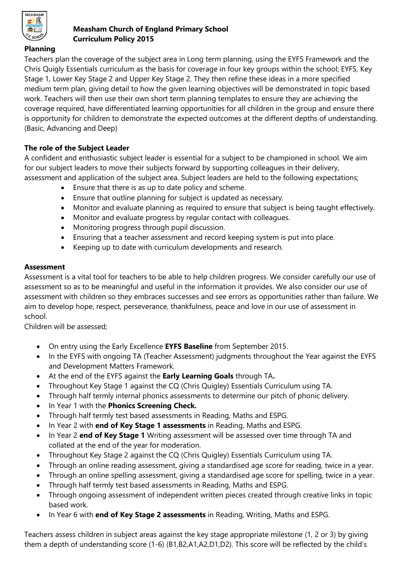

#### **Measham Church of England Primary School Curriculum Policy 2015**

### **Planning**

Teachers plan the coverage of the subject area in Long term planning, using the EYFS Framework and the Chris Quigly Essentials curriculum as the basis for coverage in four key groups within the school; EYFS, Key Stage 1, Lower Key Stage 2 and Upper Key Stage 2. They then refine these ideas in a more specified medium term plan, giving detail to how the given learning objectives will be demonstrated in topic based work. Teachers will then use their own short term planning templates to ensure they are achieving the coverage required, have differentiated learning opportunities for all children in the group and ensure there is opportunity for children to demonstrate the expected outcomes at the different depths of understanding. (Basic, Advancing and Deep)

## **The role of the Subject Leader**

A confident and enthusiastic subject leader is essential for a subject to be championed in school. We aim for our subject leaders to move their subjects forward by supporting colleagues in their delivery, assessment and application of the subject area. Subject leaders are held to the following expectations;

- Ensure that there is as up to date policy and scheme.
- Ensure that outline planning for subject is updated as necessary.
- Monitor and evaluate planning as required to ensure that subject is being taught effectively.
- Monitor and evaluate progress by regular contact with colleagues.
- Monitoring progress through pupil discussion.
- Ensuring that a teacher assessment and record keeping system is put into place.
- Keeping up to date with curriculum developments and research.

### **Assessment**

Assessment is a vital tool for teachers to be able to help children progress. We consider carefully our use of assessment so as to be meaningful and useful in the information it provides. We also consider our use of assessment with children so they embraces successes and see errors as opportunities rather than failure. We aim to develop hope, respect, perseverance, thankfulness, peace and love in our use of assessment in school.

Children will be assessed;

- On entry using the Early Excellence **EYFS Baseline** from September 2015.
- In the EYFS with ongoing TA (Teacher Assessment) judgments throughout the Year against the EYFS and Development Matters Framework.
- At the end of the EYFS against the **Early Learning Goals** through TA**.**
- Throughout Key Stage 1 against the CQ (Chris Quigley) Essentials Curriculum using TA.
- Through half termly internal phonics assessments to determine our pitch of phonic delivery.
- In Year 1 with the **Phonics Screening Check.**
- Through half termly test based assessments in Reading, Maths and ESPG.
- In Year 2 with **end of Key Stage 1 assessments** in Reading, Maths and ESPG.
- In Year 2 **end of Key Stage 1** Writing assessment will be assessed over time through TA and collated at the end of the year for moderation.
- Throughout Key Stage 2 against the CQ (Chris Quigley) Essentials Curriculum using TA.
- Through an online reading assessment, giving a standardised age score for reading, twice in a year.
- Through an online spelling assessment, giving a standardised age score for spelling, twice in a year.
- Through half termly test based assessments in Reading, Maths and ESPG.
- Through ongoing assessment of independent written pieces created through creative links in topic based work.
- In Year 6 with **end of Key Stage 2 assessments** in Reading, Writing, Maths and ESPG.

Teachers assess children in subject areas against the key stage appropriate milestone (1, 2 or 3) by giving them a depth of understanding score (1-6) (B1,B2,A1,A2,D1,D2). This score will be reflected by the child's